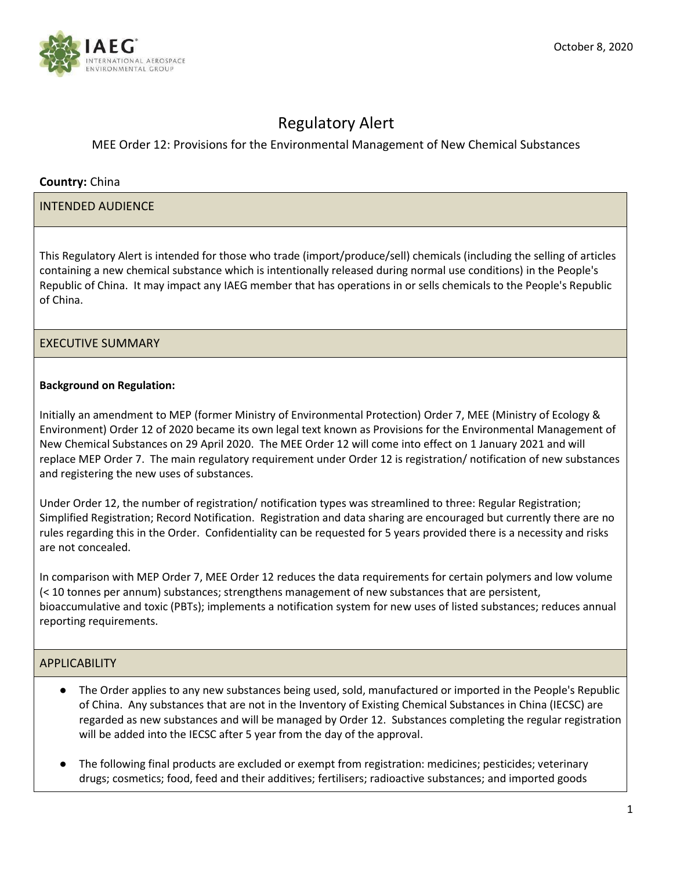

# Regulatory Alert

## MEE Order 12: Provisions for the Environmental Management of New Chemical Substances

## **Country:** China

#### INTENDED AUDIENCE

This Regulatory Alert is intended for those who trade (import/produce/sell) chemicals (including the selling of articles containing a new chemical substance which is intentionally released during normal use conditions) in the People's Republic of China. It may impact any IAEG member that has operations in or sells chemicals to the People's Republic of China.

## EXECUTIVE SUMMARY

#### **Background on Regulation:**

Initially an amendment to MEP (former Ministry of Environmental Protection) Order 7, MEE (Ministry of Ecology & Environment) Order 12 of 2020 became its own legal text known as Provisions for the Environmental Management of New Chemical Substances on 29 April 2020. The MEE Order 12 will come into effect on 1 January 2021 and will replace MEP Order 7. The main regulatory requirement under Order 12 is registration/ notification of new substances and registering the new uses of substances.

Under Order 12, the number of registration/ notification types was streamlined to three: Regular Registration; Simplified Registration; Record Notification. Registration and data sharing are encouraged but currently there are no rules regarding this in the Order. Confidentiality can be requested for 5 years provided there is a necessity and risks are not concealed.

In comparison with MEP Order 7, MEE Order 12 reduces the data requirements for certain polymers and low volume (< 10 tonnes per annum) substances; strengthens management of new substances that are persistent, bioaccumulative and toxic (PBTs); implements a notification system for new uses of listed substances; reduces annual reporting requirements.

#### APPLICABILITY

- The Order applies to any new substances being used, sold, manufactured or imported in the People's Republic of China. Any substances that are not in the Inventory of Existing Chemical Substances in China (IECSC) are regarded as new substances and will be managed by Order 12. Substances completing the regular registration will be added into the IECSC after 5 year from the day of the approval.
- The following final products are excluded or exempt from registration: medicines; pesticides; veterinary drugs; cosmetics; food, feed and their additives; fertilisers; radioactive substances; and imported goods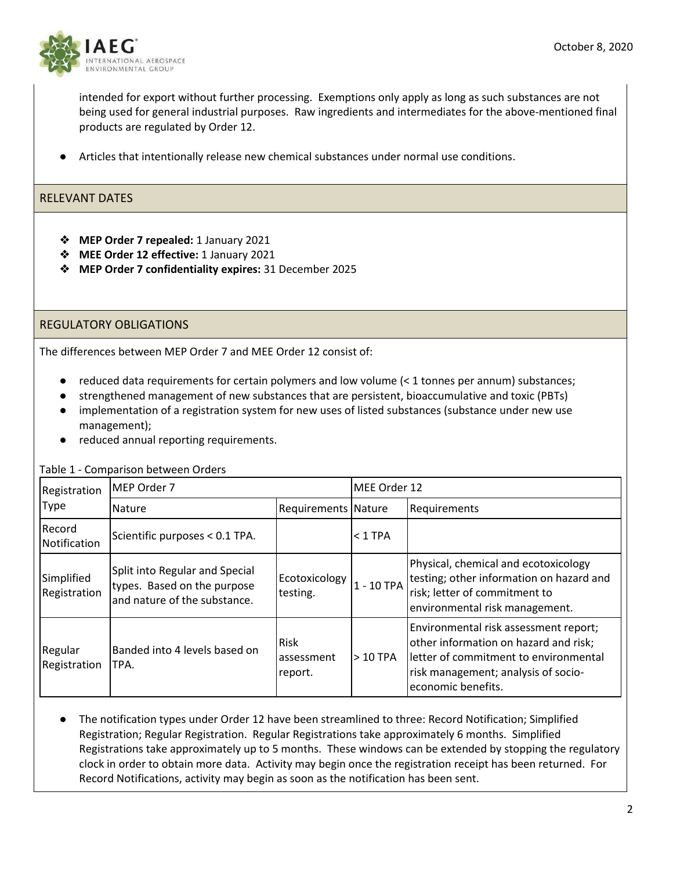

intended for export without further processing. Exemptions only apply as long as such substances are not being used for general industrial purposes. Raw ingredients and intermediates for the above-mentioned final products are regulated by Order 12.

Articles that intentionally release new chemical substances under normal use conditions.

#### RELEVANT DATES

- ❖ **MEP Order 7 repealed:** 1 January 2021
- ❖ **MEE Order 12 effective:** 1 January 2021
- ❖ **MEP Order 7 confidentiality expires:** 31 December 2025

#### REGULATORY OBLIGATIONS

The differences between MEP Order 7 and MEE Order 12 consist of:

- reduced data requirements for certain polymers and low volume  $(< 1$  tonnes per annum) substances;
- strengthened management of new substances that are persistent, bioaccumulative and toxic (PBTs)
- implementation of a registration system for new uses of listed substances (substance under new use management);
- reduced annual reporting requirements.

Table 1 - Comparison between Orders

| Registration<br><b>Type</b> | MEP Order 7                                                                                   |                               | MEE Order 12 |                                                                                                                                                                                      |
|-----------------------------|-----------------------------------------------------------------------------------------------|-------------------------------|--------------|--------------------------------------------------------------------------------------------------------------------------------------------------------------------------------------|
|                             | Nature                                                                                        | Requirements Nature           |              | Requirements                                                                                                                                                                         |
| Record<br>Notification      | Scientific purposes < 0.1 TPA.                                                                |                               | $< 1$ TPA    |                                                                                                                                                                                      |
| Simplified<br>Registration  | Split into Regular and Special<br>types. Based on the purpose<br>and nature of the substance. | Ecotoxicology<br>testing.     | 1 - 10 TPA   | Physical, chemical and ecotoxicology<br>testing; other information on hazard and<br>risk; letter of commitment to<br>environmental risk management.                                  |
| Regular<br>Registration     | Banded into 4 levels based on<br>TPA.                                                         | Risk<br>assessment<br>report. | $>10$ TPA    | Environmental risk assessment report;<br>other information on hazard and risk;<br>letter of commitment to environmental<br>risk management; analysis of socio-<br>economic benefits. |

The notification types under Order 12 have been streamlined to three: Record Notification; Simplified Registration; Regular Registration. Regular Registrations take approximately 6 months. Simplified Registrations take approximately up to 5 months. These windows can be extended by stopping the regulatory clock in order to obtain more data. Activity may begin once the registration receipt has been returned. For Record Notifications, activity may begin as soon as the notification has been sent.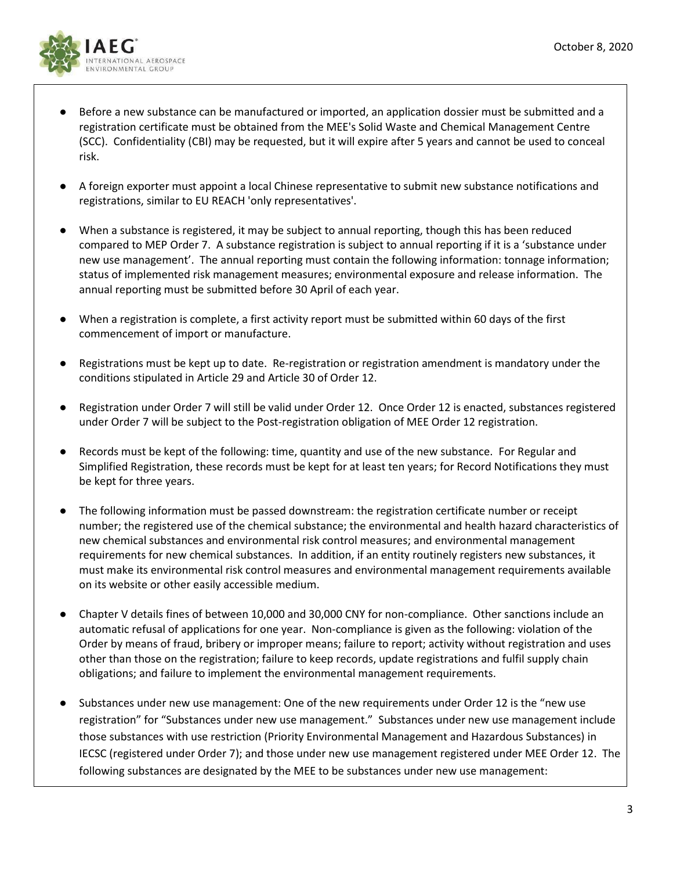

- Before a new substance can be manufactured or imported, an application dossier must be submitted and a registration certificate must be obtained from the MEE's Solid Waste and Chemical Management Centre (SCC). Confidentiality (CBI) may be requested, but it will expire after 5 years and cannot be used to conceal risk.
- A foreign exporter must appoint a local Chinese representative to submit new substance notifications and registrations, similar to EU REACH 'only representatives'.
- When a substance is registered, it may be subject to annual reporting, though this has been reduced compared to MEP Order 7. A substance registration is subject to annual reporting if it is a 'substance under new use management'. The annual reporting must contain the following information: tonnage information; status of implemented risk management measures; environmental exposure and release information. The annual reporting must be submitted before 30 April of each year.
- When a registration is complete, a first activity report must be submitted within 60 days of the first commencement of import or manufacture.
- Registrations must be kept up to date. Re-registration or registration amendment is mandatory under the conditions stipulated in Article 29 and Article 30 of Order 12.
- Registration under Order 7 will still be valid under Order 12. Once Order 12 is enacted, substances registered under Order 7 will be subject to the Post-registration obligation of MEE Order 12 registration.
- Records must be kept of the following: time, quantity and use of the new substance. For Regular and Simplified Registration, these records must be kept for at least ten years; for Record Notifications they must be kept for three years.
- The following information must be passed downstream: the registration certificate number or receipt number; the registered use of the chemical substance; the environmental and health hazard characteristics of new chemical substances and environmental risk control measures; and environmental management requirements for new chemical substances. In addition, if an entity routinely registers new substances, it must make its environmental risk control measures and environmental management requirements available on its website or other easily accessible medium.
- Chapter V details fines of between 10,000 and 30,000 CNY for non-compliance. Other sanctions include an automatic refusal of applications for one year. Non-compliance is given as the following: violation of the Order by means of fraud, bribery or improper means; failure to report; activity without registration and uses other than those on the registration; failure to keep records, update registrations and fulfil supply chain obligations; and failure to implement the environmental management requirements.
- Substances under new use management: One of the new requirements under Order 12 is the "new use registration" for "Substances under new use management." Substances under new use management include those substances with use restriction (Priority Environmental Management and Hazardous Substances) in IECSC (registered under Order 7); and those under new use management registered under MEE Order 12. The following substances are designated by the MEE to be substances under new use management: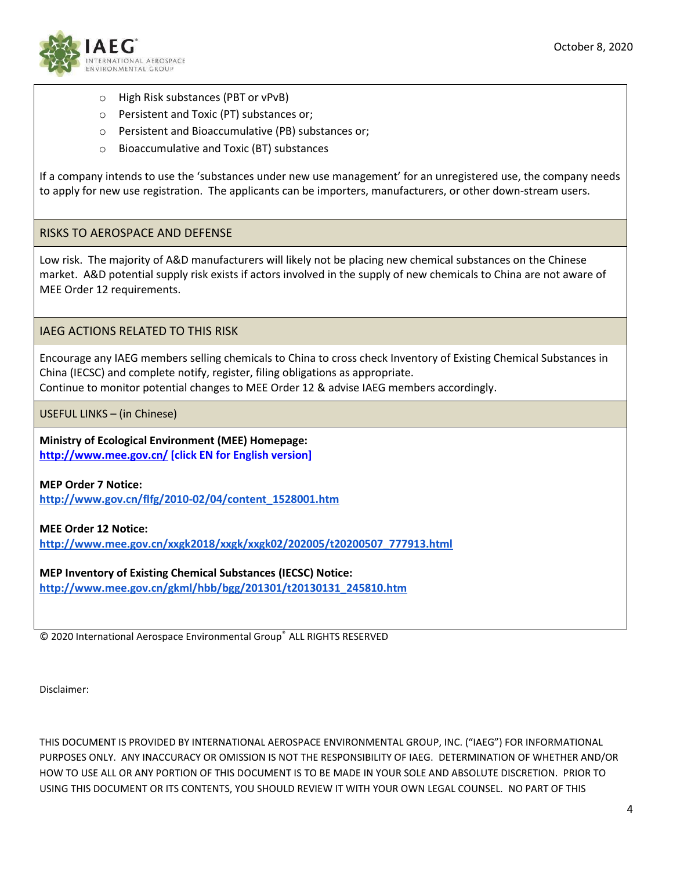

- o High Risk substances (PBT or vPvB)
- o Persistent and Toxic (PT) substances or;
- o Persistent and Bioaccumulative (PB) substances or;
- o Bioaccumulative and Toxic (BT) substances

If a company intends to use the 'substances under new use management' for an unregistered use, the company needs to apply for new use registration. The applicants can be importers, manufacturers, or other down-stream users.

#### RISKS TO AEROSPACE AND DEFENSE

Low risk. The majority of A&D manufacturers will likely not be placing new chemical substances on the Chinese market. A&D potential supply risk exists if actors involved in the supply of new chemicals to China are not aware of MEE Order 12 requirements.

IAEG ACTIONS RELATED TO THIS RISK

Encourage any IAEG members selling chemicals to China to cross check Inventory of Existing Chemical Substances in China (IECSC) and complete notify, register, filing obligations as appropriate. Continue to monitor potential changes to MEE Order 12 & advise IAEG members accordingly.

USEFUL LINKS – (in Chinese)

**Ministry of Ecological Environment (MEE) Homepage: <http://www.mee.gov.cn/> [click EN for English version]**

**MEP Order 7 Notice: [http://www.gov.cn/flfg/2010-02/04/content\\_1528001.htm](http://www.gov.cn/flfg/2010-02/04/content_1528001.htm)**

#### **MEE Order 12 Notice:**

**[http://www.mee.gov.cn/xxgk2018/xxgk/xxgk02/202005/t20200507\\_777913.html](http://www.mee.gov.cn/xxgk2018/xxgk/xxgk02/202005/t20200507_777913.html)**

**MEP Inventory of Existing Chemical Substances (IECSC) Notice: [http://www.mee.gov.cn/gkml/hbb/bgg/201301/t20130131\\_245810.htm](http://www.mee.gov.cn/gkml/hbb/bgg/201301/t20130131_245810.htm)**

© 2020 International Aerospace Environmental Group® ALL RIGHTS RESERVED

Disclaimer:

THIS DOCUMENT IS PROVIDED BY INTERNATIONAL AEROSPACE ENVIRONMENTAL GROUP, INC. ("IAEG") FOR INFORMATIONAL PURPOSES ONLY. ANY INACCURACY OR OMISSION IS NOT THE RESPONSIBILITY OF IAEG. DETERMINATION OF WHETHER AND/OR HOW TO USE ALL OR ANY PORTION OF THIS DOCUMENT IS TO BE MADE IN YOUR SOLE AND ABSOLUTE DISCRETION. PRIOR TO USING THIS DOCUMENT OR ITS CONTENTS, YOU SHOULD REVIEW IT WITH YOUR OWN LEGAL COUNSEL. NO PART OF THIS